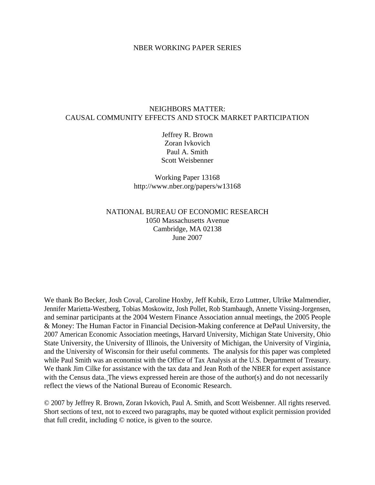#### NBER WORKING PAPER SERIES

### NEIGHBORS MATTER: CAUSAL COMMUNITY EFFECTS AND STOCK MARKET PARTICIPATION

Jeffrey R. Brown Zoran Ivkovich Paul A. Smith Scott Weisbenner

Working Paper 13168 http://www.nber.org/papers/w13168

# NATIONAL BUREAU OF ECONOMIC RESEARCH 1050 Massachusetts Avenue Cambridge, MA 02138 June 2007

We thank Bo Becker, Josh Coval, Caroline Hoxby, Jeff Kubik, Erzo Luttmer, Ulrike Malmendier, Jennifer Marietta-Westberg, Tobias Moskowitz, Josh Pollet, Rob Stambaugh, Annette Vissing-Jorgensen, and seminar participants at the 2004 Western Finance Association annual meetings, the 2005 People & Money: The Human Factor in Financial Decision-Making conference at DePaul University, the 2007 American Economic Association meetings, Harvard University, Michigan State University, Ohio State University, the University of Illinois, the University of Michigan, the University of Virginia, and the University of Wisconsin for their useful comments. The analysis for this paper was completed while Paul Smith was an economist with the Office of Tax Analysis at the U.S. Department of Treasury. We thank Jim Cilke for assistance with the tax data and Jean Roth of the NBER for expert assistance with the Census data. The views expressed herein are those of the author(s) and do not necessarily reflect the views of the National Bureau of Economic Research.

© 2007 by Jeffrey R. Brown, Zoran Ivkovich, Paul A. Smith, and Scott Weisbenner. All rights reserved. Short sections of text, not to exceed two paragraphs, may be quoted without explicit permission provided that full credit, including © notice, is given to the source.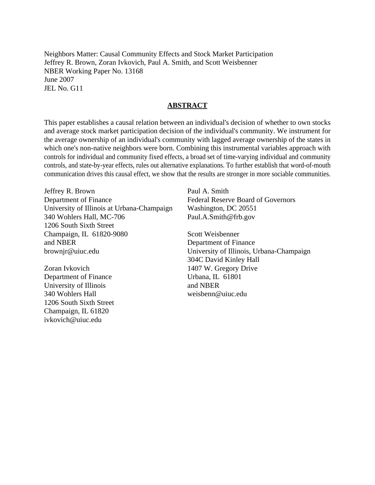Neighbors Matter: Causal Community Effects and Stock Market Participation Jeffrey R. Brown, Zoran Ivkovich, Paul A. Smith, and Scott Weisbenner NBER Working Paper No. 13168 June 2007 JEL No. G11

# **ABSTRACT**

This paper establishes a causal relation between an individual's decision of whether to own stocks and average stock market participation decision of the individual's community. We instrument for the average ownership of an individual's community with lagged average ownership of the states in which one's non-native neighbors were born. Combining this instrumental variables approach with controls for individual and community fixed effects, a broad set of time-varying individual and community controls, and state-by-year effects, rules out alternative explanations. To further establish that word-of-mouth communication drives this causal effect, we show that the results are stronger in more sociable communities.

Jeffrey R. Brown Department of Finance University of Illinois at Urbana-Champaign 340 Wohlers Hall, MC-706 1206 South Sixth Street Champaign, IL 61820-9080 and NBER brownjr@uiuc.edu

Zoran Ivkovich Department of Finance University of Illinois 340 Wohlers Hall 1206 South Sixth Street Champaign, IL 61820 ivkovich@uiuc.edu

Paul A. Smith Federal Reserve Board of Governors Washington, DC 20551 Paul.A.Smith@frb.gov

Scott Weisbenner Department of Finance University of Illinois, Urbana-Champaign 304C David Kinley Hall 1407 W. Gregory Drive Urbana, IL 61801 and NBER weisbenn@uiuc.edu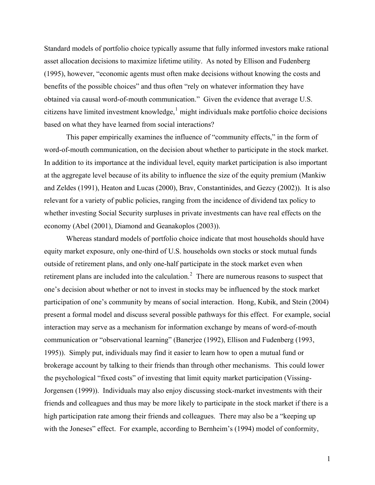Standard models of portfolio choice typically assume that fully informed investors make rational asset allocation decisions to maximize lifetime utility. As noted by Ellison and Fudenberg (1995), however, "economic agents must often make decisions without knowing the costs and benefits of the possible choices" and thus often "rely on whatever information they have obtained via causal word-of-mouth communication." Given the evidence that average U.S. citizens have limited investment knowledge, $<sup>1</sup>$  $<sup>1</sup>$  $<sup>1</sup>$  might individuals make portfolio choice decisions</sup> based on what they have learned from social interactions?

This paper empirically examines the influence of "community effects," in the form of word-of-mouth communication, on the decision about whether to participate in the stock market. In addition to its importance at the individual level, equity market participation is also important at the aggregate level because of its ability to influence the size of the equity premium (Mankiw and Zeldes (1991), Heaton and Lucas (2000), Brav, Constantinides, and Gezcy (2002)). It is also relevant for a variety of public policies, ranging from the incidence of dividend tax policy to whether investing Social Security surpluses in private investments can have real effects on the economy (Abel (2001), Diamond and Geanakoplos (2003)).

Whereas standard models of portfolio choice indicate that most households should have equity market exposure, only one-third of U.S. households own stocks or stock mutual funds outside of retirement plans, and only one-half participate in the stock market even when retirement plans are included into the calculation.<sup>[2](#page-30-1)</sup> There are numerous reasons to suspect that one's decision about whether or not to invest in stocks may be influenced by the stock market participation of one's community by means of social interaction. Hong, Kubik, and Stein (2004) present a formal model and discuss several possible pathways for this effect. For example, social interaction may serve as a mechanism for information exchange by means of word-of-mouth communication or "observational learning" (Banerjee (1992), Ellison and Fudenberg (1993, 1995)). Simply put, individuals may find it easier to learn how to open a mutual fund or brokerage account by talking to their friends than through other mechanisms. This could lower the psychological "fixed costs" of investing that limit equity market participation (Vissing-Jorgensen (1999)). Individuals may also enjoy discussing stock-market investments with their friends and colleagues and thus may be more likely to participate in the stock market if there is a high participation rate among their friends and colleagues. There may also be a "keeping up with the Joneses" effect. For example, according to Bernheim's (1994) model of conformity,

1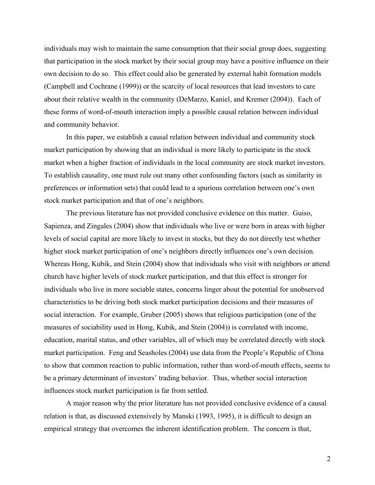individuals may wish to maintain the same consumption that their social group does, suggesting that participation in the stock market by their social group may have a positive influence on their own decision to do so. This effect could also be generated by external habit formation models (Campbell and Cochrane (1999)) or the scarcity of local resources that lead investors to care about their relative wealth in the community (DeMarzo, Kaniel, and Kremer (2004)). Each of these forms of word-of-mouth interaction imply a possible causal relation between individual and community behavior.

In this paper, we establish a causal relation between individual and community stock market participation by showing that an individual is more likely to participate in the stock market when a higher fraction of individuals in the local community are stock market investors. To establish causality, one must rule out many other confounding factors (such as similarity in preferences or information sets) that could lead to a spurious correlation between one's own stock market participation and that of one's neighbors.

The previous literature has not provided conclusive evidence on this matter. Guiso, Sapienza, and Zingales (2004) show that individuals who live or were born in areas with higher levels of social capital are more likely to invest in stocks, but they do not directly test whether higher stock market participation of one's neighbors directly influences one's own decision. Whereas Hong, Kubik, and Stein (2004) show that individuals who visit with neighbors or attend church have higher levels of stock market participation, and that this effect is stronger for individuals who live in more sociable states, concerns linger about the potential for unobserved characteristics to be driving both stock market participation decisions and their measures of social interaction. For example, Gruber (2005) shows that religious participation (one of the measures of sociability used in Hong, Kubik, and Stein (2004)) is correlated with income, education, marital status, and other variables, all of which may be correlated directly with stock market participation. Feng and Seasholes (2004) use data from the People's Republic of China to show that common reaction to public information, rather than word-of-mouth effects, seems to be a primary determinant of investors' trading behavior. Thus, whether social interaction influences stock market participation is far from settled.

A major reason why the prior literature has not provided conclusive evidence of a causal relation is that, as discussed extensively by Manski (1993, 1995), it is difficult to design an empirical strategy that overcomes the inherent identification problem. The concern is that,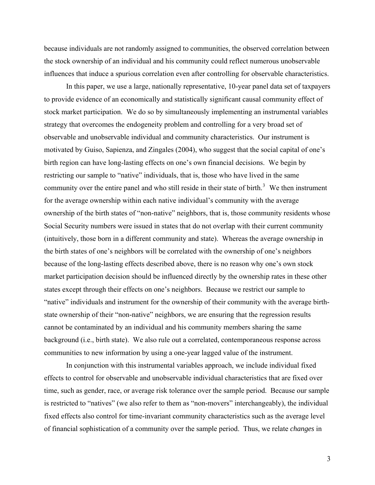because individuals are not randomly assigned to communities, the observed correlation between the stock ownership of an individual and his community could reflect numerous unobservable influences that induce a spurious correlation even after controlling for observable characteristics.

In this paper, we use a large, nationally representative, 10-year panel data set of taxpayers to provide evidence of an economically and statistically significant causal community effect of stock market participation. We do so by simultaneously implementing an instrumental variables strategy that overcomes the endogeneity problem and controlling for a very broad set of observable and unobservable individual and community characteristics. Our instrument is motivated by Guiso, Sapienza, and Zingales (2004), who suggest that the social capital of one's birth region can have long-lasting effects on one's own financial decisions. We begin by restricting our sample to "native" individuals, that is, those who have lived in the same community over the entire panel and who still reside in their state of birth.<sup>[3](#page-30-1)</sup> We then instrument for the average ownership within each native individual's community with the average ownership of the birth states of "non-native" neighbors, that is, those community residents whose Social Security numbers were issued in states that do not overlap with their current community (intuitively, those born in a different community and state). Whereas the average ownership in the birth states of one's neighbors will be correlated with the ownership of one's neighbors because of the long-lasting effects described above, there is no reason why one's own stock market participation decision should be influenced directly by the ownership rates in these other states except through their effects on one's neighbors. Because we restrict our sample to "native" individuals and instrument for the ownership of their community with the average birthstate ownership of their "non-native" neighbors, we are ensuring that the regression results cannot be contaminated by an individual and his community members sharing the same background (i.e., birth state). We also rule out a correlated, contemporaneous response across communities to new information by using a one-year lagged value of the instrument.

In conjunction with this instrumental variables approach, we include individual fixed effects to control for observable and unobservable individual characteristics that are fixed over time, such as gender, race, or average risk tolerance over the sample period. Because our sample is restricted to "natives" (we also refer to them as "non-movers" interchangeably), the individual fixed effects also control for time-invariant community characteristics such as the average level of financial sophistication of a community over the sample period. Thus, we relate *changes* in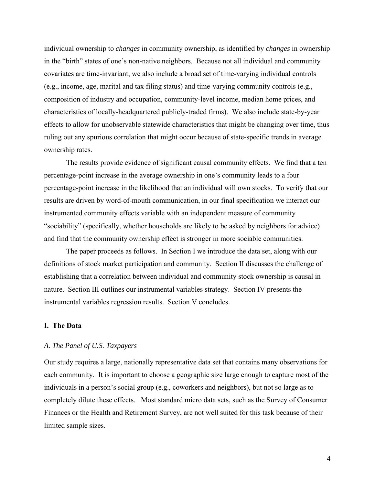individual ownership to *changes* in community ownership, as identified by *changes* in ownership in the "birth" states of one's non-native neighbors. Because not all individual and community covariates are time-invariant, we also include a broad set of time-varying individual controls (e.g., income, age, marital and tax filing status) and time-varying community controls (e.g., composition of industry and occupation, community-level income, median home prices, and characteristics of locally-headquartered publicly-traded firms). We also include state-by-year effects to allow for unobservable statewide characteristics that might be changing over time, thus ruling out any spurious correlation that might occur because of state-specific trends in average ownership rates.

The results provide evidence of significant causal community effects. We find that a ten percentage-point increase in the average ownership in one's community leads to a four percentage-point increase in the likelihood that an individual will own stocks. To verify that our results are driven by word-of-mouth communication, in our final specification we interact our instrumented community effects variable with an independent measure of community "sociability" (specifically, whether households are likely to be asked by neighbors for advice) and find that the community ownership effect is stronger in more sociable communities.

The paper proceeds as follows. In Section I we introduce the data set, along with our definitions of stock market participation and community. Section II discusses the challenge of establishing that a correlation between individual and community stock ownership is causal in nature. Section III outlines our instrumental variables strategy. Section IV presents the instrumental variables regression results. Section V concludes.

### **I. The Data**

# *A. The Panel of U.S. Taxpayers*

Our study requires a large, nationally representative data set that contains many observations for each community. It is important to choose a geographic size large enough to capture most of the individuals in a person's social group (e.g., coworkers and neighbors), but not so large as to completely dilute these effects. Most standard micro data sets, such as the Survey of Consumer Finances or the Health and Retirement Survey, are not well suited for this task because of their limited sample sizes.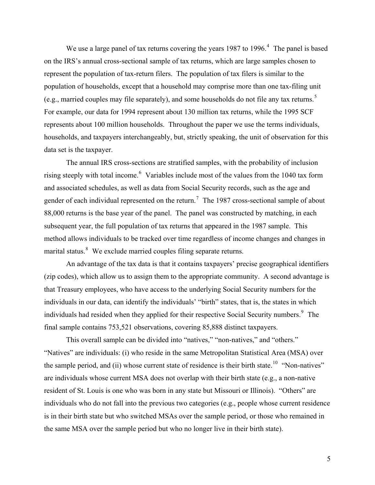We use a large panel of tax returns covering the years 1987 to 1996. $<sup>4</sup>$  $<sup>4</sup>$  $<sup>4</sup>$  The panel is based</sup> on the IRS's annual cross-sectional sample of tax returns, which are large samples chosen to represent the population of tax-return filers. The population of tax filers is similar to the population of households, except that a household may comprise more than one tax-filing unit (e.g., married couples may file separately), and some households do not file any tax returns.<sup>[5](#page-30-1)</sup> For example, our data for 1994 represent about 130 million tax returns, while the 1995 S CF represents about 100 million households. Throughout the paper we use the terms individuals, households, and taxpayers interchangeably, but, strictly speaking, the unit of observation for this data set is the taxpayer.

The annual IRS cross-sections are stratified samples, with the probability of inclusion rising steeply with total income.<sup>[6](#page-30-1)</sup> Variables include most of the values from the 1040 tax form and associated schedules, as well as data from Social Security records, such as the age and gender of each individual represented on the return.<sup>[7](#page-30-1)</sup> The 1987 cross-sectional sample of about 88,000 returns is the base year of the panel. The panel was constructed by matching, in each subsequent year, the full population of tax returns that appeared in the 1987 sample. This method allows individuals to be tracked over time regardless of income changes and changes in marital status.<sup>[8](#page-30-1)</sup> We exclude married couples filing separate returns.

An advantage of the tax data is that it contains taxpayers' precise geographical identifiers (zip codes), which allow us to assign them to the appropriate community. A second advantage is that Treasury employees, who have access to the underlying Social Security numbers for the individuals in our data, can identify the individuals' "birth" states, that is, the states in which individuals had resided when they applied for their respective Social Security numbers.<sup>[9](#page-30-1)</sup> The final sample contains 753,521 observations, covering 85,888 distinct taxpayers.

This overall sample can be divided into "natives," "non-natives," and "others." "Natives" are individuals: (i) who reside in the same Metropolitan Statistical Area (MSA) over the sample period, and (ii) whose current state of residence is their birth state.<sup>[10](#page-30-1)</sup> "Non-natives" are individuals whose current MSA does not overlap with their birth state (e.g., a non-native resident of St. Louis is one who was born in any state but Missouri or Illinois). "Others" are individuals who do not fall into the previous two categories (e.g., people whose current residence is in their birth state but who switched MSAs over the sample period, or those who remained in the same MSA over the sample period but who no longer live in their birth state).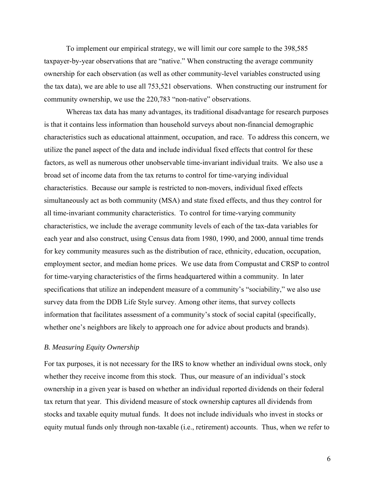To implement our empirical strategy, we will limit our core sample to the 398,585 taxpayer-by-year observations that are "native." When constructing the average community ownership for each observation (as well as other community-level variables constructed using the tax data), we are able to use all 753,521 observations. When constructing our instrument for community ownership, we use the 220,783 "non-native" observations.

Whereas tax data has many advantages, its traditional disadvantage for research purposes is that it contains less information than household surveys about non-financial demographic characteristics such as educational attainment, occupation, and race. To address this concern, we utilize the panel aspect of the data and include individual fixed effects that control for these factors, as well as numerous other unobservable time-invariant individual traits. We also use a broad set of income data from the tax returns to control for time-varying individual characteristics. Because our sample is restricted to non-movers, individual fixed effects simultaneously act as both community (MSA) and state fixed effects, and thus they control for all time-invariant community characteristics. To control for time-varying community characteristics, we include the average community levels of each of the tax-data variables for each year and also construct, using Census data from 1980, 1990, and 2000, annual time trends for key community measures such as the distribution of race, ethnicity, education, occupation, employment sector, and median home prices. We use data from Compustat and CRSP to control for time-varying characteristics of the firms headquartered within a community. In later specifications that utilize an independent measure of a community's "sociability," we also use survey data from the DDB Life Style survey. Among other items, that survey collects information that facilitates assessment of a community's stock of social capital (specifically, whether one's neighbors are likely to approach one for advice about products and brands).

### *B. Measuring Equity Ownership*

For tax purposes, it is not necessary for the IRS to know whether an individual owns stock, only whether they receive income from this stock. Thus, our measure of an individual's stock ownership in a given year is based on whether an individual reported dividends on their federal tax return that year. This dividend measure of stock ownership captures all dividends from stocks and taxable equity mutual funds. It does not include individuals who invest in stocks or equity mutual funds only through non-taxable (i.e., retirement) accounts. Thus, when we refer to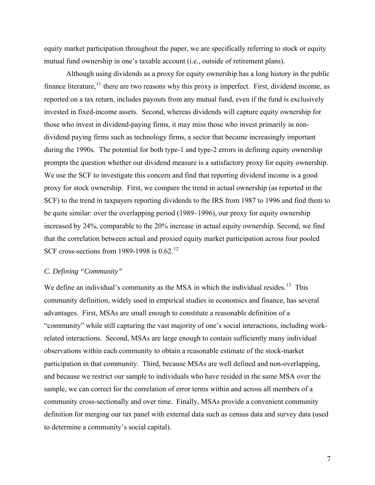equity market participation throughout the paper, we are specifically referring to stock or equity mutual fund ownership in one's taxable account (i.e., outside of retirement plans).

Although using dividends as a proxy for equity ownership has a long history in the public finance literature, $11$  there are two reasons why this proxy is imperfect. First, dividend income, as reported on a tax return, includes payouts from any mutual fund, even if the fund is exclusively invested in fixed-income assets. Second, whereas dividends will capture equity ownership for those who invest in dividend-paying firms, it may miss those who invest primarily in nondividend paying firms such as technology firms, a sector that became increasingly important during the 1990s. The potential for both type-1 and type-2 errors in defining equity ownership prompts the question whether our dividend measure is a satisfactory proxy for equity ownership. We use the SCF to investigate this concern and find that reporting dividend income is a good proxy for stock ownership. First, we compare the trend in actual ownership (as reported in the SCF) to the trend in taxpayers reporting dividends to the IRS from 1987 to 1996 and find them to be quite similar: over the overlapping period (1989–1996), our proxy for equity ownership increased by 24%, comparable to the 20% increase in actual equity ownership. Second, we find that the correlation between actual and proxied equity market participation across four pooled SCF cross-sections from 1989-1998 is  $0.62<sup>12</sup>$  $0.62<sup>12</sup>$  $0.62<sup>12</sup>$ 

# *C. Defining "Community"*

We define an individual's community as the MSA in which the individual resides.<sup>[13](#page-30-1)</sup> This community definition, widely used in empirical studies in economics and finance, has several advantages. First, MSAs are small enough to constitute a reasonable definition of a "community" while still capturing the vast majority of one's social interactions, including workrelated interactions. Second, MSAs are large enough to contain sufficiently many individual observations within each community to obtain a reasonable estimate of the stock-market participation in that community. Third, because MSAs are well defined and non-overlapping, and because we restrict our sample to individuals who have resided in the same MSA over the sample, we can correct for the correlation of error terms within and across all members of a community cross-sectionally and over time. Finally, MSAs provide a convenient community definition for merging our tax panel with external data such as census data and survey data (used to determine a community's social capital).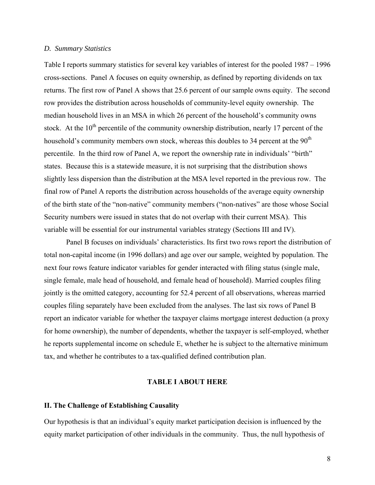# *D. Summary Statistics*

Table I reports summary statistics for several key variables of interest for the pooled 1987 – 1996 cross-sections. Panel A focuses on equity ownership, as defined by reporting dividends on tax returns. The first row of Panel A shows that 25.6 percent of our sample owns equity. The second row provides the distribution across households of community-level equity ownership. The median household lives in an MSA in which 26 percent of the household's community owns stock. At the  $10<sup>th</sup>$  percentile of the community ownership distribution, nearly 17 percent of the household's community members own stock, whereas this doubles to 34 percent at the  $90<sup>th</sup>$ percentile. In the third row of Panel A, we report the ownership rate in individuals' "birth" states. Because this is a statewide measure, it is not surprising that the distribution shows slightly less dispersion than the distribution at the MSA level reported in the previous row. The final row of Panel A reports the distribution across households of the average equity ownership of the birth state of the "non-native" community members ("non-natives" are those whose Social Security numbers were issued in states that do not overlap with their current MSA). This variable will be essential for our instrumental variables strategy (Sections III and IV).

 Panel B focuses on individuals' characteristics. Its first two rows report the distribution of total non-capital income (in 1996 dollars) and age over our sample, weighted by population. The next four rows feature indicator variables for gender interacted with filing status (single male, single female, male head of household, and female head of household). Married couples filing jointly is the omitted category, accounting for 52.4 percent of all observations, whereas married couples filing separately have been excluded from the analyses. The last six rows of Panel B report an indicator variable for whether the taxpayer claims mortgage interest deduction (a proxy for home ownership), the number of dependents, whether the taxpayer is self-employed, whether he reports supplemental income on schedule E, whether he is subject to the alternative minimum tax, and whether he contributes to a tax-qualified defined contribution plan.

#### **TABLE I ABOUT HERE**

#### **II. The Challenge of Establishing Causality**

Our hypothesis is that an individual's equity market participation decision is influenced by the equity market participation of other individuals in the community. Thus, the null hypothesis of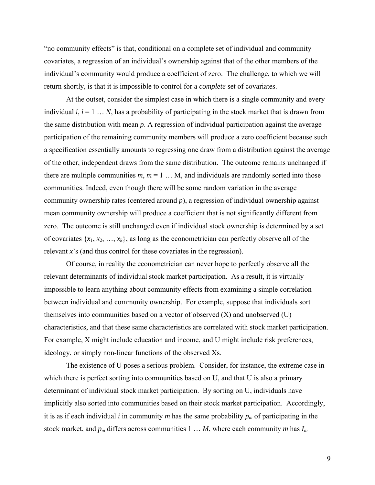"no community effects" is that, conditional on a complete set of individual and community covariates, a regression of an individual's ownership against that of the other members of the individual's community would produce a coefficient of zero. The challenge, to which we will return shortly, is that it is impossible to control for a *complete* set of covariates.

At the outset, consider the simplest case in which there is a single community and every individual  $i, i = 1 \ldots N$ , has a probability of participating in the stock market that is drawn from the same distribution with mean *p*. A regression of individual participation against the average participation of the remaining community members will produce a zero coefficient because such a specification essentially amounts to regressing one draw from a distribution against the average of the other, independent draws from the same distribution. The outcome remains unchanged if there are multiple communities  $m, m = 1, \ldots, M$ , and individuals are randomly sorted into those communities. Indeed, even though there will be some random variation in the average community ownership rates (centered around *p*), a regression of individual ownership against mean community ownership will produce a coefficient that is not significantly different from zero. The outcome is still unchanged even if individual stock ownership is determined by a set of covariates  $\{x_1, x_2, ..., x_k\}$ , as long as the econometrician can perfectly observe all of the relevant *x*'s (and thus control for these covariates in the regression).

 Of course, in reality the econometrician can never hope to perfectly observe all the relevant determinants of individual stock market participation. As a result, it is virtually impossible to learn anything about community effects from examining a simple correlation between individual and community ownership. For example, suppose that individuals sort themselves into communities based on a vector of observed (X) and unobserved (U) characteristics, and that these same characteristics are correlated with stock market participation. For example, X might include education and income, and U might include risk preferences, ideology, or simply non-linear functions of the observed Xs.

 The existence of U poses a serious problem. Consider, for instance, the extreme case in which there is perfect sorting into communities based on U, and that U is also a primary determinant of individual stock market participation. By sorting on U, individuals have implicitly also sorted into communities based on their stock market participation. Accordingly, it is as if each individual *i* in community *m* has the same probability *pm* of participating in the stock market, and  $p_m$  differs across communities 1 ... M, where each community m has  $I_m$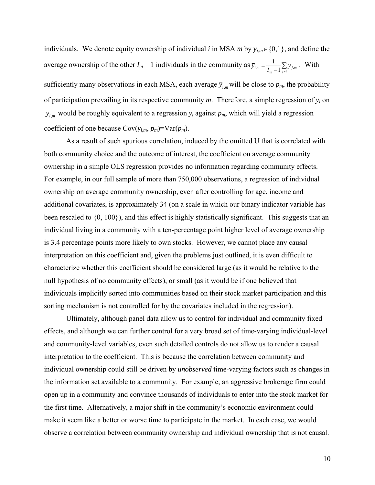individuals. We denote equity ownership of individual *i* in MSA *m* by  $y_{i,m} \in \{0,1\}$ , and define the average ownership of the other  $I_m - 1$  individuals in the community as  $\overline{y}_{i,m} = \frac{1}{I_m - 1} \sum_{j \neq i} y_{j,m}$ . With sufficiently many observations in each MSA, each average  $\bar{y}_{i,m}$  will be close to  $p_m$ , the probability of participation prevailing in its respective community *m*. Therefore, a simple regression of *yi* on  $\bar{y}_{i,m}$  would be roughly equivalent to a regression  $y_i$  against  $p_m$ , which will yield a regression coefficient of one because  $Cov(y_{i,m}, p_m) = Var(p_m)$ .

 As a result of such spurious correlation, induced by the omitted U that is correlated with both community choice and the outcome of interest, the coefficient on average community ownership in a simple OLS regression provides no information regarding community effects. For example, in our full sample of more than 750,000 observations, a regression of individual ownership on average community ownership, even after controlling for age, income and additional covariates, is approximately 34 (on a scale in which our binary indicator variable has been rescaled to {0, 100}), and this effect is highly statistically significant. This suggests that an individual living in a community with a ten-percentage point higher level of average ownership is 3.4 percentage points more likely to own stocks. However, we cannot place any causal interpretation on this coefficient and, given the problems just outlined, it is even difficult to characterize whether this coefficient should be considered large (as it would be relative to the null hypothesis of no community effects), or small (as it would be if one believed that individuals implicitly sorted into communities based on their stock market participation and this sorting mechanism is not controlled for by the covariates included in the regression).

 Ultimately, although panel data allow us to control for individual and community fixed effects, and although we can further control for a very broad set of time-varying individual-level and community-level variables, even such detailed controls do not allow us to render a causal interpretation to the coefficient. This is because the correlation between community and individual ownership could still be driven by *unobserved* time-varying factors such as changes in the information set available to a community. For example, an aggressive brokerage firm could open up in a community and convince thousands of individuals to enter into the stock market for the first time. Alternatively, a major shift in the community's economic environment could make it seem like a better or worse time to participate in the market. In each case, we would observe a correlation between community ownership and individual ownership that is not causal.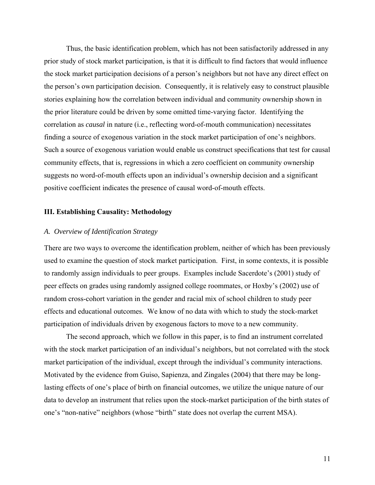Thus, the basic identification problem, which has not been satisfactorily addressed in any prior study of stock market participation, is that it is difficult to find factors that would influence the stock market participation decisions of a person's neighbors but not have any direct effect on the person's own participation decision. Consequently, it is relatively easy to construct plausible stories explaining how the correlation between individual and community ownership shown in the prior literature could be driven by some omitted time-varying factor. Identifying the correlation as *causal* in nature (i.e., reflecting word-of-mouth communication) necessitates finding a source of exogenous variation in the stock market participation of one's neighbors. Such a source of exogenous variation would enable us construct specifications that test for causal community effects, that is, regressions in which a zero coefficient on community ownership suggests no word-of-mouth effects upon an individual's ownership decision and a significant positive coefficient indicates the presence of causal word-of-mouth effects.

### **III. Establishing Causality: Methodology**

### *A. Overview of Identification Strategy*

There are two ways to overcome the identification problem, neither of which has been previously used to examine the question of stock market participation. First, in some contexts, it is possible to randomly assign individuals to peer groups. Examples include Sacerdote's (2001) study of peer effects on grades using randomly assigned college roommates, or Hoxby's (2002) use of random cross-cohort variation in the gender and racial mix of school children to study peer effects and educational outcomes. We know of no data with which to study the stock-market participation of individuals driven by exogenous factors to move to a new community.

The second approach, which we follow in this paper, is to find an instrument correlated with the stock market participation of an individual's neighbors, but not correlated with the stock market participation of the individual, except through the individual's community interactions. Motivated by the evidence from Guiso, Sapienza, and Zingales (2004) that there may be longlasting effects of one's place of birth on financial outcomes, we utilize the unique nature of our data to develop an instrument that relies upon the stock-market participation of the birth states of one's "non-native" neighbors (whose "birth" state does not overlap the current MSA).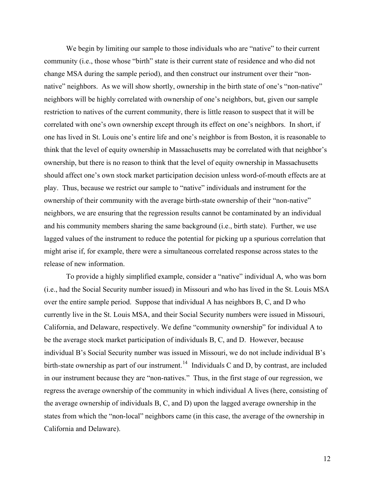We begin by limiting our sample to those individuals who are "native" to their current community (i.e., those whose "birth" state is their current state of residence and who did not change MSA during the sample period), and then construct our instrument over their "nonnative" neighbors. As we will show shortly, ownership in the birth state of one's "non-native" neighbors will be highly correlated with ownership of one's neighbors, but, given our sample restriction to natives of the current community, there is little reason to suspect that it will be correlated with one's own ownership except through its effect on one's neighbors. In short, if one has lived in St. Louis one's entire life and one's neighbor is from Boston, it is reasonable to think that the level of equity ownership in Massachusetts may be correlated with that neighbor's ownership, but there is no reason to think that the level of equity ownership in Massachusetts should affect one's own stock market participation decision unless word-of-mouth effects are at play. Thus, because we restrict our sample to "native" individuals and instrument for the ownership of their community with the average birth-state ownership of their "non-native" neighbors, we are ensuring that the regression results cannot be contaminated by an individual and his community members sharing the same background (i.e., birth state). Further, we use lagged values of the instrument to reduce the potential for picking up a spurious correlation that might arise if, for example, there were a simultaneous correlated response across states to the release of new information.

To provide a highly simplified example, consider a "native" individual A, who was born (i.e., had the Social Security number issued) in Missouri and who has lived in the St. Louis MSA over the entire sample period. Suppose that individual A has neighbors B, C, and D who currently live in the St. Louis MSA, and their Social Security numbers were issued in Missouri, California, and Delaware, respectively. We define "community ownership" for individual A to be the average stock market participation of individuals B, C, and D. However, because individual B's Social Security number was issued in Missouri, we do not include individual B's birth-state ownership as part of our instrument.<sup>[14](#page-30-1)</sup> Individuals C and D, by contrast, are included in our instrument because they are "non-natives." Thus, in the first stage of our regression, we regress the average ownership of the community in which individual A lives (here, consisting of the average ownership of individuals B, C, and D) upon the lagged average ownership in the states from which the "non-local" neighbors came (in this case, the average of the ownership in California and Delaware).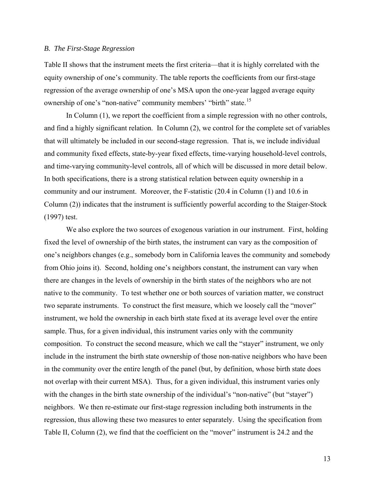#### *B. The First-Stage Regression*

Table II shows that the instrument meets the first criteria—that it is highly correlated with the equity ownership of one's community. The table reports the coefficients from our first-stage regression of the average ownership of one's MSA upon the one-year lagged average equity ownership of one's "non-native" community members' "birth" state.<sup>[15](#page-30-1)</sup>

In Column (1), we report the coefficient from a simple regression with no other controls, and find a highly significant relation. In Column (2), we control for the complete set of variables that will ultimately be included in our second-stage regression. That is, we include individual and community fixed effects, state-by-year fixed effects, time-varying household-level controls, and time-varying community-level controls, all of which will be discussed in more detail below. In both specifications, there is a strong statistical relation between equity ownership in a community and our instrument. Moreover, the F-statistic (20.4 in Column (1) and 10.6 in Column (2)) indicates that the instrument is sufficiently powerful according to the Staiger-Stock (1997) test.

We also explore the two sources of exogenous variation in our instrument. First, holding fixed the level of ownership of the birth states, the instrument can vary as the composition of one's neighbors changes (e.g., somebody born in California leaves the community and somebody from Ohio joins it). Second, holding one's neighbors constant, the instrument can vary when there are changes in the levels of ownership in the birth states of the neighbors who are not native to the community. To test whether one or both sources of variation matter, we construct two separate instruments. To construct the first measure, which we loosely call the "mover" instrument, we hold the ownership in each birth state fixed at its average level over the entire sample. Thus, for a given individual, this instrument varies only with the community composition. To construct the second measure, which we call the "stayer" instrument, we only include in the instrument the birth state ownership of those non-native neighbors who have been in the community over the entire length of the panel (but, by definition, whose birth state does not overlap with their current MSA). Thus, for a given individual, this instrument varies only with the changes in the birth state ownership of the individual's "non-native" (but "stayer") neighbors. We then re-estimate our first-stage regression including both instruments in the regression, thus allowing these two measures to enter separately. Using the specification from Table II, Column (2), we find that the coefficient on the "mover" instrument is 24.2 and the

13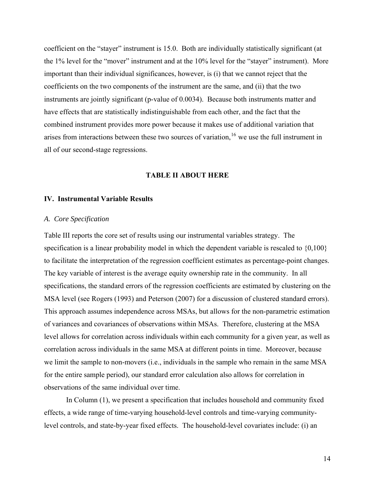coefficient on the "stayer" instrument is 15.0. Both are individually statistically significant (at the 1% level for the "mover" instrument and at the 10% level for the "stayer" instrument). More important than their individual significances, however, is (i) that we cannot reject that the coefficients on the two components of the instrument are the same, and (ii) that the two instruments are jointly significant (p-value of 0.0034). Because both instruments matter and have effects that are statistically indistinguishable from each other, and the fact that the combined instrument provides more power because it makes use of additional variation that arises from interactions between these two sources of variation,  $16$  we use the full instrument in all of our second-stage regressions.

### **TABLE II ABOUT HERE**

### **IV. Instrumental Variable Results**

### *A. Core Specification*

Table III reports the core set of results using our instrumental variables strategy. The specification is a linear probability model in which the dependent variable is rescaled to {0,100} to facilitate the interpretation of the regression coefficient estimates as percentage-point changes. The key variable of interest is the average equity ownership rate in the community. In all specifications, the standard errors of the regression coefficients are estimated by clustering on the MSA level (see Rogers (1993) and Peterson (2007) for a discussion of clustered standard errors). This approach assumes independence across MSAs, but allows for the non-parametric estimation of variances and covariances of observations within MSAs. Therefore, clustering at the MSA level allows for correlation across individuals within each community for a given year, as well as correlation across individuals in the same MSA at different points in time. Moreover, because we limit the sample to non-movers (i.e., individuals in the sample who remain in the same MSA for the entire sample period), our standard error calculation also allows for correlation in observations of the same individual over time.

In Column (1), we present a specification that includes household and community fixed effects, a wide range of time-varying household-level controls and time-varying communitylevel controls, and state-by-year fixed effects. The household-level covariates include: (i) an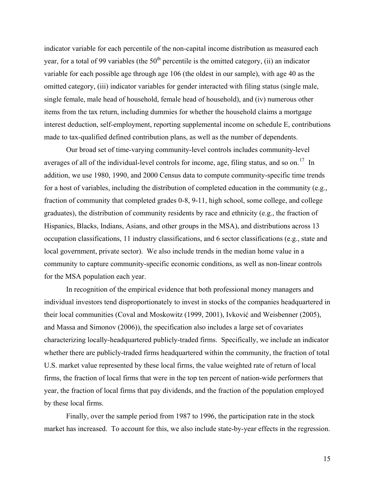indicator variable for each percentile of the non-capital income distribution as measured each year, for a total of 99 variables (the  $50<sup>th</sup>$  percentile is the omitted category, (ii) an indicator variable for each possible age through age 106 (the oldest in our sample), with age 40 as the omitted category, (iii) indicator variables for gender interacted with filing status (single male, single female, male head of household, female head of household), and (iv) numerous other items from the tax return, including dummies for whether the household claims a mortgage interest deduction, self-employment, reporting supplemental income on schedule E, contributions made to tax-qualified defined contribution plans, as well as the number of dependents.

Our broad set of time-varying community-level controls includes community-level averages of all of the individual-level controls for income, age, filing status, and so on.<sup>[17](#page-30-1)</sup> In addition, we use 1980, 1990, and 2000 Census data to compute community-specific time trends for a host of variables, including the distribution of completed education in the community (e.g., fraction of community that completed grades 0-8, 9-11, high school, some college, and college graduates), the distribution of community residents by race and ethnicity (e.g., the fraction of Hispanics, Blacks, Indians, Asians, and other groups in the MSA), and distributions across 13 occupation classifications, 11 industry classifications, and 6 sector classifications (e.g., state and local government, private sector). We also include trends in the median home value in a community to capture community-specific economic conditions, as well as non-linear controls for the MSA population each year.

In recognition of the empirical evidence that both professional money managers and individual investors tend disproportionately to invest in stocks of the companies headquartered in their local communities (Coval and Moskowitz (1999, 2001), Ivković and Weisbenner (2005), and Massa and Simonov (2006)), the specification also includes a large set of covariates characterizing locally-headquartered publicly-traded firms. Specifically, we include an indicator whether there are publicly-traded firms headquartered within the community, the fraction of total U.S. market value represented by these local firms, the value weighted rate of return of local firms, the fraction of local firms that were in the top ten percent of nation-wide performers that year, the fraction of local firms that pay dividends, and the fraction of the population employed by these local firms.

 Finally, over the sample period from 1987 to 1996, the participation rate in the stock market has increased. To account for this, we also include state-by-year effects in the regression.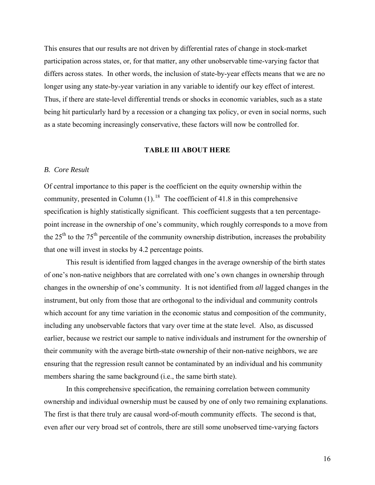This ensures that our results are not driven by differential rates of change in stock-market participation across states, or, for that matter, any other unobservable time-varying factor that differs across states. In other words, the inclusion of state-by-year effects means that we are no longer using any state-by-year variation in any variable to identify our key effect of interest. Thus, if there are state-level differential trends or shocks in economic variables, such as a state being hit particularly hard by a recession or a changing tax policy, or even in social norms, such as a state becoming increasingly conservative, these factors will now be controlled for.

### **TABLE III ABOUT HERE**

### *B. Core Result*

Of central importance to this paper is the coefficient on the equity ownership within the community, presented in Column  $(1)$ .<sup>[18](#page-30-1)</sup> The coefficient of 41.8 in this comprehensive specification is highly statistically significant. This coefficient suggests that a ten percentagepoint increase in the ownership of one's community, which roughly corresponds to a move from the  $25<sup>th</sup>$  to the 75<sup>th</sup> percentile of the community ownership distribution, increases the probability that one will invest in stocks by 4.2 percentage points.

 This result is identified from lagged changes in the average ownership of the birth states of one's non-native neighbors that are correlated with one's own changes in ownership through changes in the ownership of one's community. It is not identified from *all* lagged changes in the instrument, but only from those that are orthogonal to the individual and community controls which account for any time variation in the economic status and composition of the community, including any unobservable factors that vary over time at the state level. Also, as discussed earlier, because we restrict our sample to native individuals and instrument for the ownership of their community with the average birth-state ownership of their non-native neighbors, we are ensuring that the regression result cannot be contaminated by an individual and his community members sharing the same background (i.e., the same birth state).

 In this comprehensive specification, the remaining correlation between community ownership and individual ownership must be caused by one of only two remaining explanations. The first is that there truly are causal word-of-mouth community effects. The second is that, even after our very broad set of controls, there are still some unobserved time-varying factors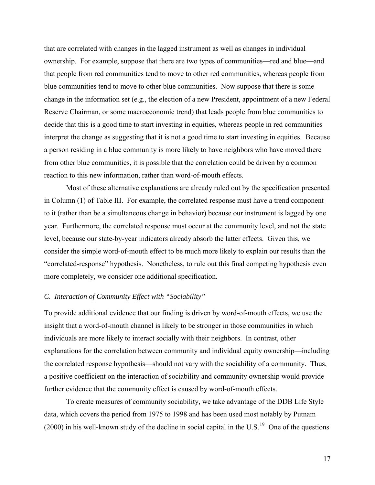that are correlated with changes in the lagged instrument as well as changes in individual ownership. For example, suppose that there are two types of communities—red and blue—and that people from red communities tend to move to other red communities, whereas people from blue communities tend to move to other blue communities. Now suppose that there is some change in the information set (e.g., the election of a new President, appointment of a new Federal Reserve Chairman, or some macroeconomic trend) that leads people from blue communities to decide that this is a good time to start investing in equities, whereas people in red communities interpret the change as suggesting that it is not a good time to start investing in equities. Because a person residing in a blue community is more likely to have neighbors who have moved there from other blue communities, it is possible that the correlation could be driven by a common reaction to this new information, rather than word-of-mouth effects.

Most of these alternative explanations are already ruled out by the specification presented in Column (1) of Table III. For example, the correlated response must have a trend component to it (rather than be a simultaneous change in behavior) because our instrument is lagged by one year. Furthermore, the correlated response must occur at the community level, and not the state level, because our state-by-year indicators already absorb the latter effects. Given this, we consider the simple word-of-mouth effect to be much more likely to explain our results than the "correlated-response" hypothesis. Nonetheless, to rule out this final competing hypothesis even more completely, we consider one additional specification.

### *C. Interaction of Community Effect with "Sociability"*

To provide additional evidence that our finding is driven by word-of-mouth effects, we use the insight that a word-of-mouth channel is likely to be stronger in those communities in which individuals are more likely to interact socially with their neighbors. In contrast, other explanations for the correlation between community and individual equity ownership—including the correlated response hypothesis—should not vary with the sociability of a community. Thus, a positive coefficient on the interaction of sociability and community ownership would provide further evidence that the community effect is caused by word-of-mouth effects.

To create measures of community sociability, we take advantage of the DDB Life Style data, which covers the period from 1975 to 1998 and has been used most notably by Putnam (2000) in his well-known study of the decline in social capital in the U.S.<sup>[19](#page-30-1)</sup> One of the questions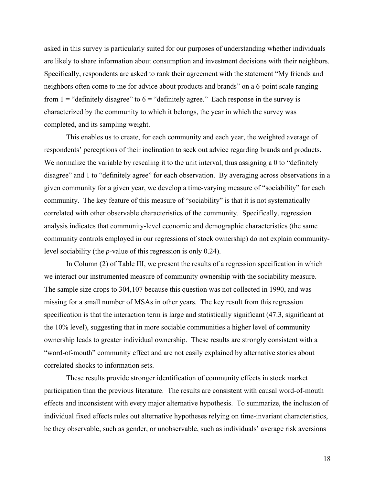asked in this survey is particularly suited for our purposes of understanding whether individuals are likely to share information about consumption and investment decisions with their neighbors. Specifically, respondents are asked to rank their agreement with the statement "My friends and neighbors often come to me for advice about products and brands" on a 6-point scale ranging from  $1 =$  "definitely disagree" to  $6 =$  "definitely agree." Each response in the survey is characterized by the community to which it belongs, the year in which the survey was completed, and its sampling weight.

This enables us to create, for each community and each year, the weighted average of respondents' perceptions of their inclination to seek out advice regarding brands and products. We normalize the variable by rescaling it to the unit interval, thus assigning a 0 to "definitely" disagree" and 1 to "definitely agree" for each observation. By averaging across observations in a given community for a given year, we develop a time-varying measure of "sociability" for each community. The key feature of this measure of "sociability" is that it is not systematically correlated with other observable characteristics of the community. Specifically, regression analysis indicates that community-level economic and demographic characteristics (the same community controls employed in our regressions of stock ownership) do not explain communitylevel sociability (the *p*-value of this regression is only 0.24).

In Column (2) of Table III, we present the results of a regression specification in which we interact our instrumented measure of community ownership with the sociability measure. The sample size drops to 304,107 because this question was not collected in 1990, and was missing for a small number of MSAs in other years. The key result from this regression specification is that the interaction term is large and statistically significant (47.3, significant at the 10% level), suggesting that in more sociable communities a higher level of community ownership leads to greater individual ownership. These results are strongly consistent with a "word-of-mouth" community effect and are not easily explained by alternative stories about correlated shocks to information sets.

These results provide stronger identification of community effects in stock market participation than the previous literature. The results are consistent with causal word-of-mouth effects and inconsistent with every major alternative hypothesis. To summarize, the inclusion of individual fixed effects rules out alternative hypotheses relying on time-invariant characteristics, be they observable, such as gender, or unobservable, such as individuals' average risk aversions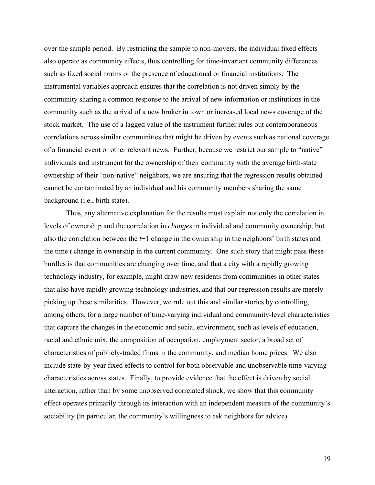over the sample period. By restricting the sample to non-movers, the individual fixed effects also operate as community effects, thus controlling for time-invariant community differences such as fixed social norms or the presence of educational or financial institutions. The instrumental variables approach ensures that the correlation is not driven simply by the community sharing a common response to the arrival of new information or institutions in the community such as the arrival of a new broker in town or increased local news coverage of the stock market. The use of a lagged value of the instrument further rules out contemporaneous correlations across similar communities that might be driven by events such as national coverage of a financial event or other relevant news. Further, because we restrict our sample to "native" individuals and instrument for the ownership of their community with the average birth-state ownership of their "non-native" neighbors, we are ensuring that the regression results obtained cannot be contaminated by an individual and his community members sharing the same background (i.e., birth state).

 Thus, any alternative explanation for the results must explain not only the correlation in levels of ownership and the correlation in *changes* in individual and community ownership, but also the correlation between the *t*−1 change in the ownership in the neighbors' birth states and the time *t* change in ownership in the current community. One such story that might pass these hurdles is that communities are changing over time, and that a city with a rapidly growing technology industry, for example, might draw new residents from communities in other states that also have rapidly growing technology industries, and that our regression results are merely picking up these similarities. However, we rule out this and similar stories by controlling, among others, for a large number of time-varying individual and community-level characteristics that capture the changes in the economic and social environment, such as levels of education, racial and ethnic mix, the composition of occupation, employment sector, a broad set of characteristics of publicly-traded firms in the community, and median home prices. We also include state-by-year fixed effects to control for both observable and unobservable time-varying characteristics across states. Finally, to provide evidence that the effect is driven by social interaction, rather than by some unobserved correlated shock, we show that this community effect operates primarily through its interaction with an independent measure of the community's sociability (in particular, the community's willingness to ask neighbors for advice).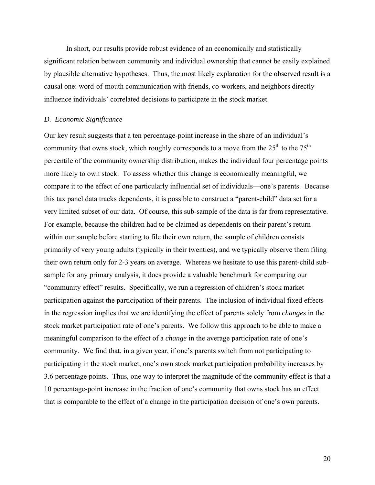In short, our results provide robust evidence of an economically and statistically significant relation between community and individual ownership that cannot be easily explained by plausible alternative hypotheses. Thus, the most likely explanation for the observed result is a causal one: word-of-mouth communication with friends, co-workers, and neighbors directly influence individuals' correlated decisions to participate in the stock market.

### *D. Economic Significance*

Our key result suggests that a ten percentage-point increase in the share of an individual's community that owns stock, which roughly corresponds to a move from the  $25<sup>th</sup>$  to the  $75<sup>th</sup>$ percentile of the community ownership distribution, makes the individual four percentage points more likely to own stock. To assess whether this change is economically meaningful, we compare it to the effect of one particularly influential set of individuals—one's parents. Because this tax panel data tracks dependents, it is possible to construct a "parent-child" data set for a very limited subset of our data. Of course, this sub-sample of the data is far from representative. For example, because the children had to be claimed as dependents on their parent's return within our sample before starting to file their own return, the sample of children consists primarily of very young adults (typically in their twenties), and we typically observe them filing their own return only for 2-3 years on average. Whereas we hesitate to use this parent-child subsample for any primary analysis, it does provide a valuable benchmark for comparing our "community effect" results. Specifically, we run a regression of children's stock market participation against the participation of their parents. The inclusion of individual fixed effects in the regression implies that we are identifying the effect of parents solely from *changes* in the stock market participation rate of one's parents. We follow this approach to be able to make a meaningful comparison to the effect of a *change* in the average participation rate of one's community. We find that, in a given year, if one's parents switch from not participating to participating in the stock market, one's own stock market participation probability increases by 3.6 percentage points. Thus, one way to interpret the magnitude of the community effect is that a 10 percentage-point increase in the fraction of one's community that owns stock has an effect that is comparable to the effect of a change in the participation decision of one's own parents.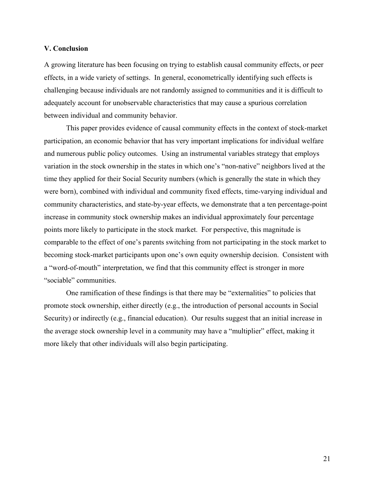### **V. Conclusion**

A growing literature has been focusing on trying to establish causal community effects, or peer effects, in a wide variety of settings. In general, econometrically identifying such effects is challenging because individuals are not randomly assigned to communities and it is difficult to adequately account for unobservable characteristics that may cause a spurious correlation between individual and community behavior.

 This paper provides evidence of causal community effects in the context of stock-market participation, an economic behavior that has very important implications for individual welfare and numerous public policy outcomes. Using an instrumental variables strategy that employs variation in the stock ownership in the states in which one's "non-native" neighbors lived at the time they applied for their Social Security numbers (which is generally the state in which they were born), combined with individual and community fixed effects, time-varying individual and community characteristics, and state-by-year effects, we demonstrate that a ten percentage-point increase in community stock ownership makes an individual approximately four percentage points more likely to participate in the stock market. For perspective, this magnitude is comparable to the effect of one's parents switching from not participating in the stock market to becoming stock-market participants upon one's own equity ownership decision. Consistent with a "word-of-mouth" interpretation, we find that this community effect is stronger in more "sociable" communities.

 One ramification of these findings is that there may be "externalities" to policies that promote stock ownership, either directly (e.g., the introduction of personal accounts in Social Security) or indirectly (e.g., financial education). Our results suggest that an initial increase in the average stock ownership level in a community may have a "multiplier" effect, making it more likely that other individuals will also begin participating.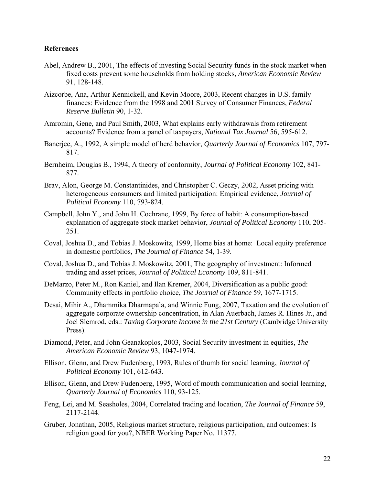### **References**

- Abel, Andrew B., 2001, The effects of investing Social Security funds in the stock market when fixed costs prevent some households from holding stocks, *American Economic Review* 91, 128-148.
- Aizcorbe, Ana, Arthur Kennickell, and Kevin Moore, 2003, Recent changes in U.S. family finances: Evidence from the 1998 and 2001 Survey of Consumer Finances, *Federal Reserve Bulletin* 90, 1-32.
- Amromin, Gene, and Paul Smith, 2003, What explains early withdrawals from retirement accounts? Evidence from a panel of taxpayers, *National Tax Journal* 56, 595-612.
- Banerjee, A., 1992, A simple model of herd behavior, *Quarterly Journal of Economics* 107, 797- 817.
- Bernheim, Douglas B., 1994, A theory of conformity, *Journal of Political Economy* 102, 841- 877.
- Brav, Alon, George M. Constantinides, and Christopher C. Geczy, 2002, Asset pricing with heterogeneous consumers and limited participation: Empirical evidence, *Journal of Political Economy* 110, 793-824.
- Campbell, John Y., and John H. Cochrane, 1999, By force of habit: A consumption-based explanation of aggregate stock market behavior, *Journal of Political Economy* 110, 205- 251.
- Coval, Joshua D., and Tobias J. Moskowitz, 1999, Home bias at home: Local equity preference in domestic portfolios, *The Journal of Finance* 54, 1-39.
- Coval, Joshua D., and Tobias J. Moskowitz, 2001, The geography of investment: Informed trading and asset prices, *Journal of Political Economy* 109, 811-841.
- DeMarzo, Peter M., Ron Kaniel, and Ilan Kremer, 2004, Diversification as a public good: Community effects in portfolio choice, *The Journal of Finance* 59, 1677-1715.
- Desai, Mihir A., Dhammika Dharmapala, and Winnie Fung, 2007, Taxation and the evolution of aggregate corporate ownership concentration, in Alan Auerbach, James R. Hines Jr., and Joel Slemrod, eds.: *Taxing Corporate Income in the 21st Century* (Cambridge University Press).
- Diamond, Peter, and John Geanakoplos, 2003, Social Security investment in equities, *The American Economic Review* 93, 1047-1974.
- Ellison, Glenn, and Drew Fudenberg, 1993, Rules of thumb for social learning, *Journal of Political Economy* 101, 612-643.
- Ellison, Glenn, and Drew Fudenberg, 1995, Word of mouth communication and social learning, *Quarterly Journal of Economics* 110, 93-125.
- Feng, Lei, and M. Seasholes, 2004, Correlated trading and location, *The Journal of Finance* 59, 2117-2144.
- Gruber, Jonathan, 2005, Religious market structure, religious participation, and outcomes: Is religion good for you?, NBER Working Paper No. 11377.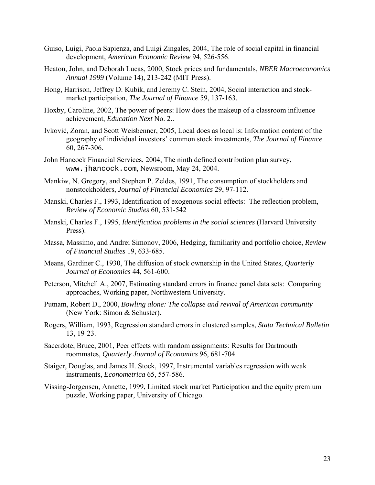- Guiso, Luigi, Paola Sapienza, and Luigi Zingales, 2004, The role of social capital in financial development, *American Economic Review* 94, 526-556.
- Heaton, John, and Deborah Lucas, 2000, Stock prices and fundamentals, *NBER Macroeconomics Annual 1999* (Volume 14), 213-242 (MIT Press).
- Hong, Harrison, Jeffrey D. Kubik, and Jeremy C. Stein, 2004, Social interaction and stockmarket participation, *The Journal of Finance* 59, 137-163.
- Hoxby, Caroline, 2002, The power of peers: How does the makeup of a classroom influence achievement, *Education Next* No. 2..
- Ivković, Zoran, and Scott Weisbenner, 2005, Local does as local is: Information content of the geography of individual investors' common stock investments, *The Journal of Finance* 60, 267-306.
- John Hancock Financial Services, 2004, The ninth defined contribution plan survey, www.jhancock.com, Newsroom, May 24, 2004.
- Mankiw, N. Gregory, and Stephen P. Zeldes, 1991, The consumption of stockholders and nonstockholders, *Journal of Financial Economics* 29, 97-112.
- Manski, Charles F., 1993, Identification of exogenous social effects: The reflection problem, *Review of Economic Studies* 60, 531-542
- Manski, Charles F., 1995, *Identification problems in the social sciences* (Harvard University Press).
- Massa, Massimo, and Andrei Simonov, 2006, Hedging, familiarity and portfolio choice, *Review of Financial Studies* 19, 633-685.
- Means, Gardiner C., 1930, The diffusion of stock ownership in the United States, *Quarterly Journal of Economics* 44, 561-600.
- Peterson, Mitchell A., 2007, Estimating standard errors in finance panel data sets: Comparing approaches, Working paper, Northwestern University.
- Putnam, Robert D., 2000, *Bowling alone: The collapse and revival of American community* (New York: Simon & Schuster).
- Rogers, William, 1993, Regression standard errors in clustered samples, *Stata Technical Bulletin*  13, 19-23.
- Sacerdote, Bruce, 2001, Peer effects with random assignments: Results for Dartmouth roommates, *Quarterly Journal of Economics* 96, 681-704.
- Staiger, Douglas, and James H. Stock, 1997, Instrumental variables regression with weak instruments, *Econometrica* 65, 557-586.
- Vissing-Jorgensen, Annette, 1999, Limited stock market Participation and the equity premium puzzle, Working paper, University of Chicago.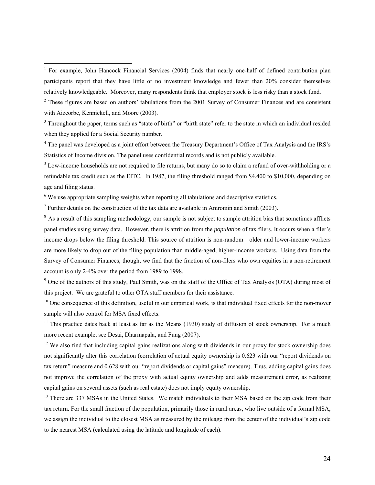<sup>3</sup> Throughout the paper, terms such as "state of birth" or "birth state" refer to the state in which an individual resided when they applied for a Social Security number.

<sup>4</sup> The panel was developed as a joint effort between the Treasury Department's Office of Tax Analysis and the IRS's Statistics of Income division. The panel uses confidential records and is not publicly available.

 $5$  Low-income households are not required to file returns, but many do so to claim a refund of over-withholding or a refundable tax credit such as the EITC. In 1987, the filing threshold ranged from \$4,400 to \$10,000, depending on age and filing status.

 $6$  We use appropriate sampling weights when reporting all tabulations and descriptive statistics.

 $\overline{a}$ 

<sup>7</sup> Further details on the construction of the tax data are available in Amromin and Smith (2003).

<sup>8</sup> As a result of this sampling methodology, our sample is not subject to sample attrition bias that sometimes afflicts panel studies using survey data. However, there is attrition from the *population* of tax filers. It occurs when a filer's income drops below the filing threshold. This source of attrition is non-random—older and lower-income workers are more likely to drop out of the filing population than middle-aged, higher-income workers. Using data from the Survey of Consumer Finances, though, we find that the fraction of non-filers who own equities in a non-retirement account is only 2-4% over the period from 1989 to 1998.

 $9^9$  One of the authors of this study, Paul Smith, was on the staff of the Office of Tax Analysis (OTA) during most of this project. We are grateful to other OTA staff members for their assistance.

 $10$  One consequence of this definition, useful in our empirical work, is that individual fixed effects for the non-mover sample will also control for MSA fixed effects.

<sup>11</sup> This practice dates back at least as far as the Means (1930) study of diffusion of stock ownership. For a much more recent example, see Desai, Dharmapala, and Fung (2007).

 $12$  We also find that including capital gains realizations along with dividends in our proxy for stock ownership does not significantly alter this correlation (correlation of actual equity ownership is 0.623 with our "report dividends on tax return" measure and 0.628 with our "report dividends or capital gains" measure). Thus, adding capital gains does not improve the correlation of the proxy with actual equity ownership and adds measurement error, as realizing capital gains on several assets (such as real estate) does not imply equity ownership.

<sup>13</sup> There are 337 MSAs in the United States. We match individuals to their MSA based on the zip code from their tax return. For the small fraction of the population, primarily those in rural areas, who live outside of a formal MSA, we assign the individual to the closest MSA as measured by the mileage from the center of the individual's zip code to the nearest MSA (calculated using the latitude and longitude of each).

<sup>1</sup> For example, John Hancock Financial Services (2004) finds that nearly one-half of defined contribution plan participants report that they have little or no investment knowledge and fewer than 20% consider themselves relatively knowledgeable. Moreover, many respondents think that employer stock is less risky than a stock fund.

 $2^2$  These figures are based on authors' tabulations from the 2001 Survey of Consumer Finances and are consistent with Aizcorbe, Kennickell, and Moore (2003).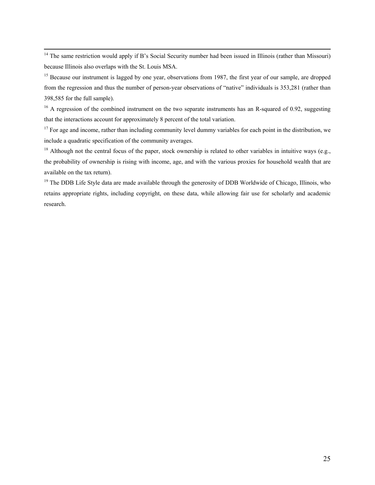<sup>14</sup> The same restriction would apply if B's Social Security number had been issued in Illinois (rather than Missouri) because Illinois also overlaps with the St. Louis MSA.

<sup>15</sup> Because our instrument is lagged by one year, observations from 1987, the first year of our sample, are dropped from the regression and thus the number of person-year observations of "native" individuals is 353,281 (rather than 398,585 for the full sample).

 $16$  A regression of the combined instrument on the two separate instruments has an R-squared of 0.92, suggesting that the interactions account for approximately 8 percent of the total variation.

 $17$  For age and income, rather than including community level dummy variables for each point in the distribution, we include a quadratic specification of the community averages.

 $18$  Although not the central focus of the paper, stock ownership is related to other variables in intuitive ways (e.g., the probability of ownership is rising with income, age, and with the various proxies for household wealth that are available on the tax return).

<sup>19</sup> The DDB Life Style data are made available through the generosity of DDB Worldwide of Chicago, Illinois, who retains appropriate rights, including copyright, on these data, while allowing fair use for scholarly and academic research.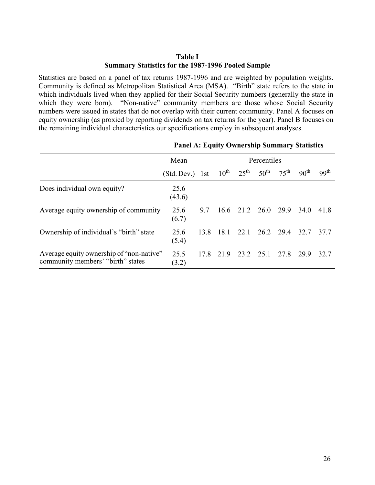# **Table I Summary Statistics for the 1987-1996 Pooled Sample**

Statistics are based on a panel of tax returns 1987-1996 and are weighted by population weights. Community is defined as Metropolitan Statistical Area (MSA). "Birth" state refers to the state in which individuals lived when they applied for their Social Security numbers (generally the state in which they were born). "Non-native" community members are those whose Social Security numbers were issued in states that do not overlap with their current community. Panel A focuses on equity ownership (as proxied by reporting dividends on tax returns for the year). Panel B focuses on the remaining individual characteristics our specifications employ in subsequent analyses.

|                                                                               | Panel A: Equity Ownership Summary Statistics |      |                  |                  |                  |                  |                  |                  |  |
|-------------------------------------------------------------------------------|----------------------------------------------|------|------------------|------------------|------------------|------------------|------------------|------------------|--|
|                                                                               | Mean                                         |      | Percentiles      |                  |                  |                  |                  |                  |  |
|                                                                               | $(Std, Dev.)$ 1st                            |      | $10^{\text{th}}$ | $25^{\text{th}}$ | $50^{\text{th}}$ | $75^{\text{th}}$ | 90 <sup>th</sup> | 99 <sup>th</sup> |  |
| Does individual own equity?                                                   | 25.6<br>(43.6)                               |      |                  |                  |                  |                  |                  |                  |  |
| Average equity ownership of community                                         | 25.6<br>(6.7)                                | 97   |                  | 16.6 21.2        | 26.0             | 29.9             | 34 Q             | 418              |  |
| Ownership of individual's "birth" state                                       | 25.6<br>(5.4)                                | 13.8 | 18.1             | 22.1             | 26.2             | 29.4             | 32.7             | 377              |  |
| Average equity ownership of "non-native"<br>community members' "birth" states | 25.5<br>(3.2)                                | 17.8 | 21.9             | 23.2 25.1        |                  | 27.8             | 29.9             | 32.7             |  |

### **Panel A: Equity Ownership Summary Statistics**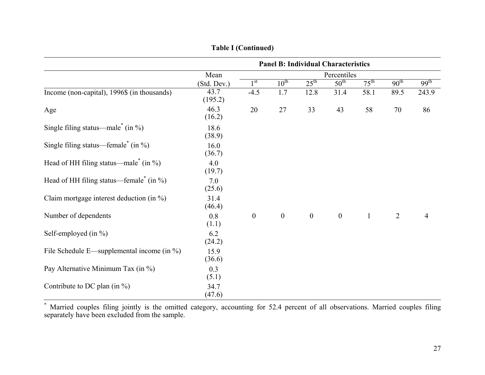|                                                                  | <b>Panel B: Individual Characteristics</b> |                  |                  |                  |                  |                  |                  |                  |
|------------------------------------------------------------------|--------------------------------------------|------------------|------------------|------------------|------------------|------------------|------------------|------------------|
|                                                                  | Mean                                       | Percentiles      |                  |                  |                  |                  |                  |                  |
|                                                                  | (Std. Dev.)                                | 1 <sup>st</sup>  | $10^{\text{th}}$ | $25^{\text{th}}$ | $50^{\text{th}}$ | $75^{\text{th}}$ | $90^{\text{th}}$ | 99 <sup>th</sup> |
| Income (non-capital), 1996\$ (in thousands)                      | 43.7<br>(195.2)                            | $-4.5$           | 1.7              | 12.8             | 31.4             | 58.1             | 89.5             | 243.9            |
| Age                                                              | 46.3<br>(16.2)                             | 20               | 27               | 33               | 43               | 58               | 70               | 86               |
| Single filing status—male <sup><math>*</math></sup> (in $\%$ )   | 18.6<br>(38.9)                             |                  |                  |                  |                  |                  |                  |                  |
| Single filing status—female <sup><math>*</math></sup> (in $\%$ ) | 16.0<br>(36.7)                             |                  |                  |                  |                  |                  |                  |                  |
| Head of HH filing status—male <sup>*</sup> (in %)                | 4.0<br>(19.7)                              |                  |                  |                  |                  |                  |                  |                  |
| Head of HH filing status—female <sup>*</sup> (in $\%$ )          | 7.0<br>(25.6)                              |                  |                  |                  |                  |                  |                  |                  |
| Claim mortgage interest deduction (in $\%$ )                     | 31.4<br>(46.4)                             |                  |                  |                  |                  |                  |                  |                  |
| Number of dependents                                             | 0.8<br>(1.1)                               | $\boldsymbol{0}$ | $\boldsymbol{0}$ | $\boldsymbol{0}$ | $\mathbf{0}$     | $\mathbf{1}$     | $\overline{2}$   | $\overline{4}$   |
| Self-employed (in $\%$ )                                         | 6.2<br>(24.2)                              |                  |                  |                  |                  |                  |                  |                  |
| File Schedule E—supplemental income (in $\%$ )                   | 15.9<br>(36.6)                             |                  |                  |                  |                  |                  |                  |                  |
| Pay Alternative Minimum Tax (in %)                               | 0.3<br>(5.1)                               |                  |                  |                  |                  |                  |                  |                  |
| Contribute to DC plan (in $\%$ )                                 | 34.7<br>(47.6)                             |                  |                  |                  |                  |                  |                  |                  |

**Table I (Continued)** 

\* Married couples filing jointly is the omitted category, accounting for 52.4 percent of all observations. Married couples filing separately have been excluded from the sample.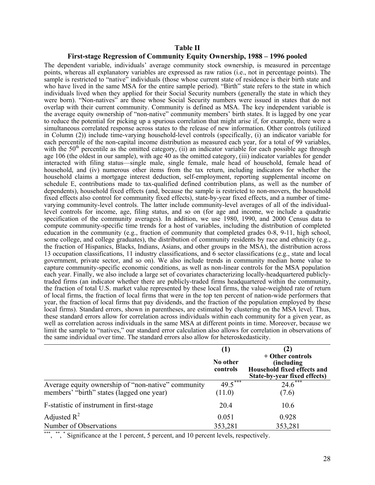#### **Table II**

#### **First-stage Regression of Community Equity Ownership, 1988 – 1996 pooled**

The dependent variable, individuals' average community stock ownership, is measured in percentage points, whereas all explanatory variables are expressed as raw ratios (i.e., not in percentage points). The sample is restricted to "native" individuals (those whose current state of residence is their birth state and who have lived in the same MSA for the entire sample period). "Birth" state refers to the state in which individuals lived when they applied for their Social Security numbers (generally the state in which they were born). "Non-natives" are those whose Social Security numbers were issued in states that do not overlap with their current community. Community is defined as MSA. The key independent variable is the average equity ownership of "non-native" community members' birth states. It is lagged by one year to reduce the potential for picking up a spurious correlation that might arise if, for example, there were a simultaneous correlated response across states to the release of new information. Other controls (utilized in Column (2)) include time-varying household-level controls (specifically, (i) an indicator variable for each percentile of the non-capital income distribution as measured each year, for a total of 99 variables, with the  $50<sup>th</sup>$  percentile as the omitted category, (ii) an indicator variable for each possible age through age 106 (the oldest in our sample), with age 40 as the omitted category, (iii) indicator variables for gender interacted with filing status—single male, single female, male head of household, female head of household, and (iv) numerous other items from the tax return, including indicators for whether the household claims a mortgage interest deduction, self-employment, reporting supplemental income on schedule E, contributions made to tax-qualified defined contribution plans, as well as the number of dependents), household fixed effects (and, because the sample is restricted to non-movers, the household fixed effects also control for community fixed effects), state-by-year fixed effects, and a number of timevarying community-level controls. The latter include community-level averages of all of the individuallevel controls for income, age, filing status, and so on (for age and income, we include a quadratic specification of the community averages). In addition, we use 1980, 1990, and 2000 Census data to compute community-specific time trends for a host of variables, including the distribution of completed education in the community (e.g., fraction of community that completed grades 0-8, 9-11, high school, some college, and college graduates), the distribution of community residents by race and ethnicity (e.g., the fraction of Hispanics, Blacks, Indians, Asians, and other groups in the MSA), the distribution across 13 occupation classifications, 11 industry classifications, and 6 sector classifications (e.g., state and local government, private sector, and so on). We also include trends in community median home value to capture community-specific economic conditions, as well as non-linear controls for the MSA population each year. Finally, we also include a large set of covariates characterizing locally-headquartered publiclytraded firms (an indicator whether there are publicly-traded firms headquartered within the community, the fraction of total U.S. market value represented by these local firms, the value-weighted rate of return of local firms, the fraction of local firms that were in the top ten percent of nation-wide performers that year, the fraction of local firms that pay dividends, and the fraction of the population employed by these local firms). Standard errors, shown in parentheses, are estimated by clustering on the MSA level. Thus, these standard errors allow for correlation across individuals within each community for a given year, as well as correlation across individuals in the same MSA at different points in time. Moreover, because we limit the sample to "natives," our standard error calculation also allows for correlation in observations of the same individual over time. The standard errors also allow for heteroskedasticity.

|                                                                                                 | (1)<br>No other<br>controls | $\mathbf{2}$<br>+ Other controls<br>(including)<br>Household fixed effects and<br>State-by-year fixed effects) |
|-------------------------------------------------------------------------------------------------|-----------------------------|----------------------------------------------------------------------------------------------------------------|
| Average equity ownership of "non-native" community<br>members' "birth" states (lagged one year) | $49.5***$<br>(11.0)         | $24.6$ ***<br>(7.6)                                                                                            |
| F-statistic of instrument in first-stage                                                        | 20.4                        | 10.6                                                                                                           |
| Adjusted $R^2$                                                                                  | 0.051                       | 0.928                                                                                                          |
| Number of Observations                                                                          | 353,281                     | 353,281                                                                                                        |
| ***<br>**<br>Significance at the 1 percent, 5 percent, and 10 percent levels, respectively.     |                             |                                                                                                                |